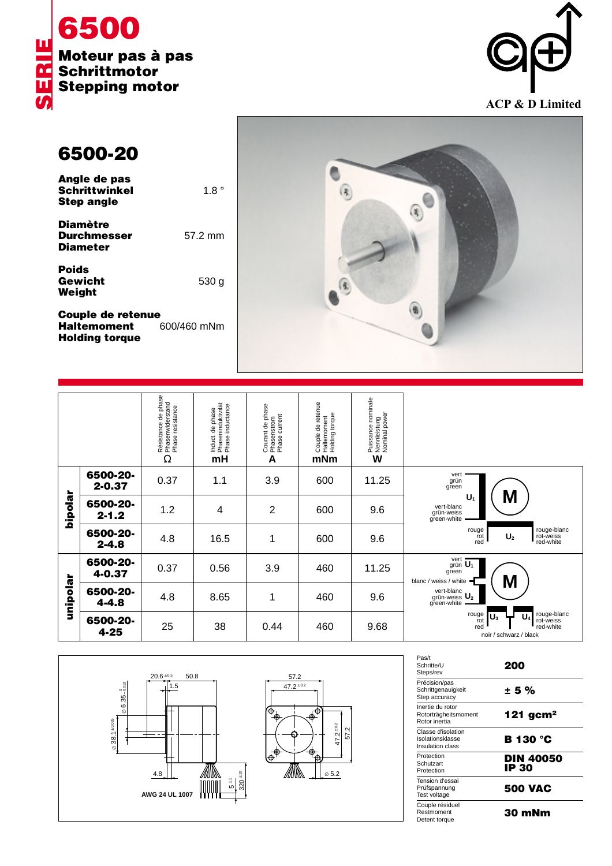



## **6500-20**

**Weight**

| Angle de pas         |             |
|----------------------|-------------|
| <b>Schrittwinkel</b> | $1.8^\circ$ |
| <b>Step angle</b>    |             |
| <b>Diamètre</b>      |             |
| <b>Durchmesser</b>   | 57.2 mm     |

**Diameter Poids Gewicht** 530 g

**Couple de retenue<br>Haltemoment** 600/460 mNm **Haltemoment Holding torque**



|          |                        | Résistance de phase<br>Phasenwiderstand<br>Phase resistance<br>Ω | Induct. de phase<br>, Phaseninduktivität<br><sup>,</sup> Phase inductance<br>mH | Courant de phase<br>Phasenstrom<br>Phase current<br>A | Couple de retenue<br>Haltemoment<br>Holding torque<br>mNm | , Puissance nominale<br>, Nennleistung<br>, Nominal power<br>W |                                                                                        |
|----------|------------------------|------------------------------------------------------------------|---------------------------------------------------------------------------------|-------------------------------------------------------|-----------------------------------------------------------|----------------------------------------------------------------|----------------------------------------------------------------------------------------|
| hipolar  | 6500-20-<br>$2 - 0.37$ | 0.37                                                             | 1.1                                                                             | 3.9                                                   | 600                                                       | 11.25                                                          | vert<br>grün<br>green                                                                  |
|          | 6500-20-<br>$2 - 1.2$  | 1.2                                                              | 4                                                                               | 2                                                     | 600                                                       | 9.6                                                            | M<br>U,<br>vert-blanc<br>grün-weiss<br>green-white                                     |
|          | 6500-20-<br>$2 - 4.8$  | 4.8                                                              | 16.5                                                                            | 1                                                     | 600                                                       | 9.6                                                            | rouge-blanc<br>rot-weiss<br>rouge<br>U <sub>2</sub><br>rot<br>red<br>red-white         |
| unipolar | 6500-20-<br>4-0.37     | 0.37                                                             | 0.56                                                                            | 3.9                                                   | 460                                                       | 11.25                                                          | vert $\overline{U_1}$<br>green<br>M<br>blanc / weiss / white                           |
|          | 6500-20-<br>4-4.8      | 4.8                                                              | 8.65                                                                            | 1                                                     | 460                                                       | 9.6                                                            | vert-blanc<br>$grain-weiss$ $U_2$<br>green-white                                       |
|          | 6500-20-<br>4-25       | 25                                                               | 38                                                                              | 0.44                                                  | 460                                                       | 9.68                                                           | rouge-blanc<br>rot-weiss<br>rouge<br>rot<br>red-white<br>red<br>noir / schwarz / black |



| Pas/t<br>Schritte/U<br>Steps/rev                           | 200                       |
|------------------------------------------------------------|---------------------------|
| Précision/pas<br>Schrittgenauigkeit<br>Step accuracy       | ± 5%                      |
| Inertie du rotor<br>Rotorträgheitsmoment<br>Rotor inertia  | 121 $gcm2$                |
| Classe d'isolation<br>Isolationsklasse<br>Insulation class | <b>B</b> 130 °C           |
| Protection<br>Schutzart<br>Protection                      | <b>DIN 40050</b><br>IP 30 |
| Tension d'essai<br>Prüfspannung<br>Test voltage            | <b>500 VAC</b>            |
| Couple résiduel<br>Restmoment<br>Detent torque             | 30 mNm                    |